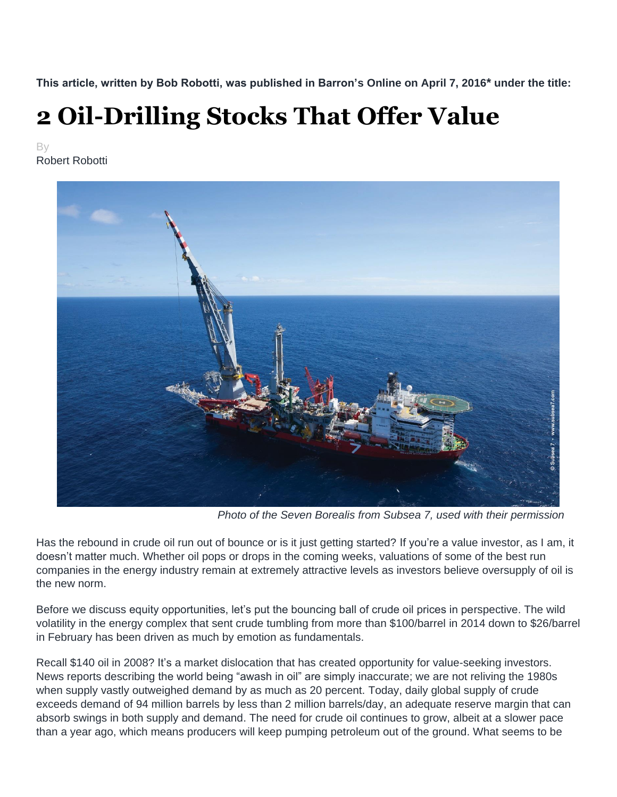**This article, written by Bob Robotti, was published in Barron's Online on April 7, 2016\* under the title:**

## **2 Oil-Drilling Stocks That Offer Value**

By Robert Robotti



*Photo of the Seven Borealis from Subsea 7, used with their permission*

Has the rebound in crude oil run out of bounce or is it just getting started? If you're a value investor, as I am, it doesn't matter much. Whether oil pops or drops in the coming weeks, valuations of some of the best run companies in the energy industry remain at extremely attractive levels as investors believe oversupply of oil is the new norm.

Before we discuss equity opportunities, let's put the bouncing ball of crude oil prices in perspective. The wild volatility in the energy complex that sent crude tumbling from more than \$100/barrel in 2014 down to \$26/barrel in February has been driven as much by emotion as fundamentals.

Recall \$140 oil in 2008? It's a market dislocation that has created opportunity for value-seeking investors. News reports describing the world being "awash in oil" are simply inaccurate; we are not reliving the 1980s when supply vastly outweighed demand by as much as 20 percent. Today, daily global supply of crude exceeds demand of 94 million barrels by less than 2 million barrels/day, an adequate reserve margin that can absorb swings in both supply and demand. The need for crude oil continues to grow, albeit at a slower pace than a year ago, which means producers will keep pumping petroleum out of the ground. What seems to be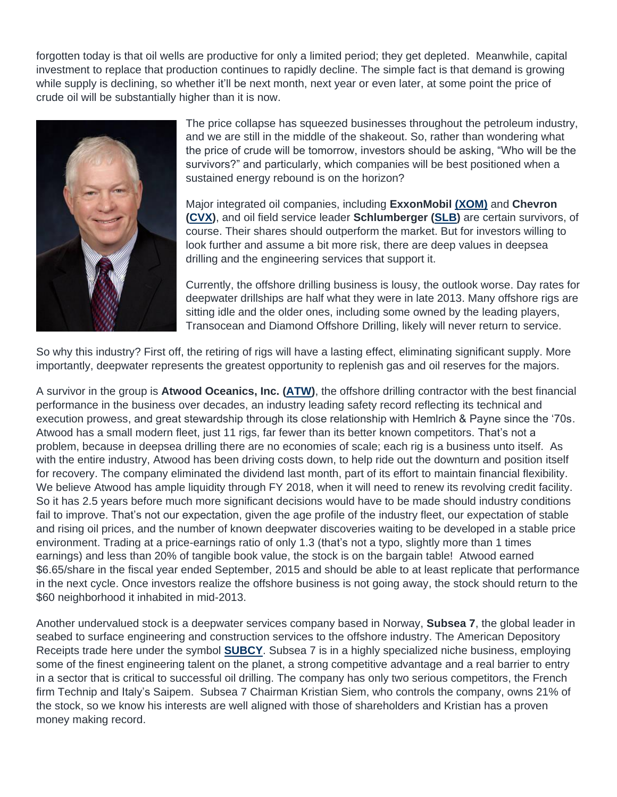forgotten today is that oil wells are productive for only a limited period; they get depleted. Meanwhile, capital investment to replace that production continues to rapidly decline. The simple fact is that demand is growing while supply is declining, so whether it'll be next month, next year or even later, at some point the price of crude oil will be substantially higher than it is now.



The price collapse has squeezed businesses throughout the petroleum industry, and we are still in the middle of the shakeout. So, rather than wondering what the price of crude will be tomorrow, investors should be asking, "Who will be the survivors?" and particularly, which companies will be best positioned when a sustained energy rebound is on the horizon?

Major integrated oil companies, including **ExxonMobil [\(XOM\)](http://finance.yahoo.com/q?s=xom&ql=1)** and **Chevron [\(CVX\)](http://finance.yahoo.com/q?s=CVX&ql=0)**, and oil field service leader **Schlumberger [\(SLB\)](http://finance.yahoo.com/q?s=SLB&ql=1)** are certain survivors, of course. Their shares should outperform the market. But for investors willing to look further and assume a bit more risk, there are deep values in deepsea drilling and the engineering services that support it.

Currently, the offshore drilling business is lousy, the outlook worse. Day rates for deepwater drillships are half what they were in late 2013. Many offshore rigs are sitting idle and the older ones, including some owned by the leading players, Transocean and Diamond Offshore Drilling, likely will never return to service.

So why this industry? First off, the retiring of rigs will have a lasting effect, eliminating significant supply. More importantly, deepwater represents the greatest opportunity to replenish gas and oil reserves for the majors.

A survivor in the group is **Atwood Oceanics, Inc. [\(ATW\)](http://finance.yahoo.com/q?s=ATW&ql=0)**, the offshore drilling contractor with the best financial performance in the business over decades, an industry leading safety record reflecting its technical and execution prowess, and great stewardship through its close relationship with Hemlrich & Payne since the '70s. Atwood has a small modern fleet, just 11 rigs, far fewer than its better known competitors. That's not a problem, because in deepsea drilling there are no economies of scale; each rig is a business unto itself. As with the entire industry, Atwood has been driving costs down, to help ride out the downturn and position itself for recovery. The company eliminated the dividend last month, part of its effort to maintain financial flexibility. We believe Atwood has ample liquidity through FY 2018, when it will need to renew its revolving credit facility. So it has 2.5 years before much more significant decisions would have to be made should industry conditions fail to improve. That's not our expectation, given the age profile of the industry fleet, our expectation of stable and rising oil prices, and the number of known deepwater discoveries waiting to be developed in a stable price environment. Trading at a price-earnings ratio of only 1.3 (that's not a typo, slightly more than 1 times earnings) and less than 20% of tangible book value, the stock is on the bargain table! Atwood earned \$6.65/share in the fiscal year ended September, 2015 and should be able to at least replicate that performance in the next cycle. Once investors realize the offshore business is not going away, the stock should return to the \$60 neighborhood it inhabited in mid-2013.

Another undervalued stock is a deepwater services company based in Norway, **Subsea 7**, the global leader in seabed to surface engineering and construction services to the offshore industry. The American Depository Receipts trade here under the symbol **[SUBCY](http://finance.yahoo.com/q?s=SUBCY&ql=0)**. Subsea 7 is in a highly specialized niche business, employing some of the finest engineering talent on the planet, a strong competitive advantage and a real barrier to entry in a sector that is critical to successful oil drilling. The company has only two serious competitors, the French firm Technip and Italy's Saipem. Subsea 7 Chairman Kristian Siem, who controls the company, owns 21% of the stock, so we know his interests are well aligned with those of shareholders and Kristian has a proven money making record.